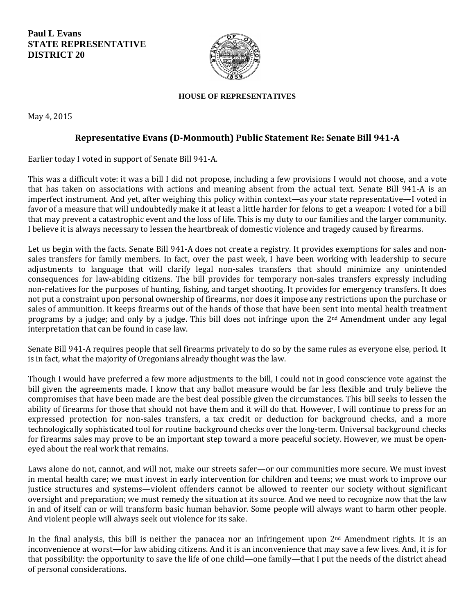**Paul L Evans STATE REPRESENTATIVE DISTRICT 20**



## **HOUSE OF REPRESENTATIVES**

May 4, 2015

## **Representative Evans (D-Monmouth) Public Statement Re: Senate Bill 941-A**

Earlier today I voted in support of Senate Bill 941-A.

This was a difficult vote: it was a bill I did not propose, including a few provisions I would not choose, and a vote that has taken on associations with actions and meaning absent from the actual text. Senate Bill 941-A is an imperfect instrument. And yet, after weighing this policy within context—as your state representative—I voted in favor of a measure that will undoubtedly make it at least a little harder for felons to get a weapon: I voted for a bill that may prevent a catastrophic event and the loss of life. This is my duty to our families and the larger community. I believe it is always necessary to lessen the heartbreak of domestic violence and tragedy caused by firearms.

Let us begin with the facts. Senate Bill 941-A does not create a registry. It provides exemptions for sales and nonsales transfers for family members. In fact, over the past week, I have been working with leadership to secure adjustments to language that will clarify legal non-sales transfers that should minimize any unintended consequences for law-abiding citizens. The bill provides for temporary non-sales transfers expressly including non-relatives for the purposes of hunting, fishing, and target shooting. It provides for emergency transfers. It does not put a constraint upon personal ownership of firearms, nor does it impose any restrictions upon the purchase or sales of ammunition. It keeps firearms out of the hands of those that have been sent into mental health treatment programs by a judge; and only by a judge. This bill does not infringe upon the 2nd Amendment under any legal interpretation that can be found in case law.

Senate Bill 941-A requires people that sell firearms privately to do so by the same rules as everyone else, period. It is in fact, what the majority of Oregonians already thought was the law.

Though I would have preferred a few more adjustments to the bill, I could not in good conscience vote against the bill given the agreements made. I know that any ballot measure would be far less flexible and truly believe the compromises that have been made are the best deal possible given the circumstances. This bill seeks to lessen the ability of firearms for those that should not have them and it will do that. However, I will continue to press for an expressed protection for non-sales transfers, a tax credit or deduction for background checks, and a more technologically sophisticated tool for routine background checks over the long-term. Universal background checks for firearms sales may prove to be an important step toward a more peaceful society. However, we must be openeyed about the real work that remains.

Laws alone do not, cannot, and will not, make our streets safer—or our communities more secure. We must invest in mental health care; we must invest in early intervention for children and teens; we must work to improve our justice structures and systems—violent offenders cannot be allowed to reenter our society without significant oversight and preparation; we must remedy the situation at its source. And we need to recognize now that the law in and of itself can or will transform basic human behavior. Some people will always want to harm other people. And violent people will always seek out violence for its sake.

In the final analysis, this bill is neither the panacea nor an infringement upon 2nd Amendment rights. It is an inconvenience at worst—for law abiding citizens. And it is an inconvenience that may save a few lives. And, it is for that possibility: the opportunity to save the life of one child—one family—that I put the needs of the district ahead of personal considerations.